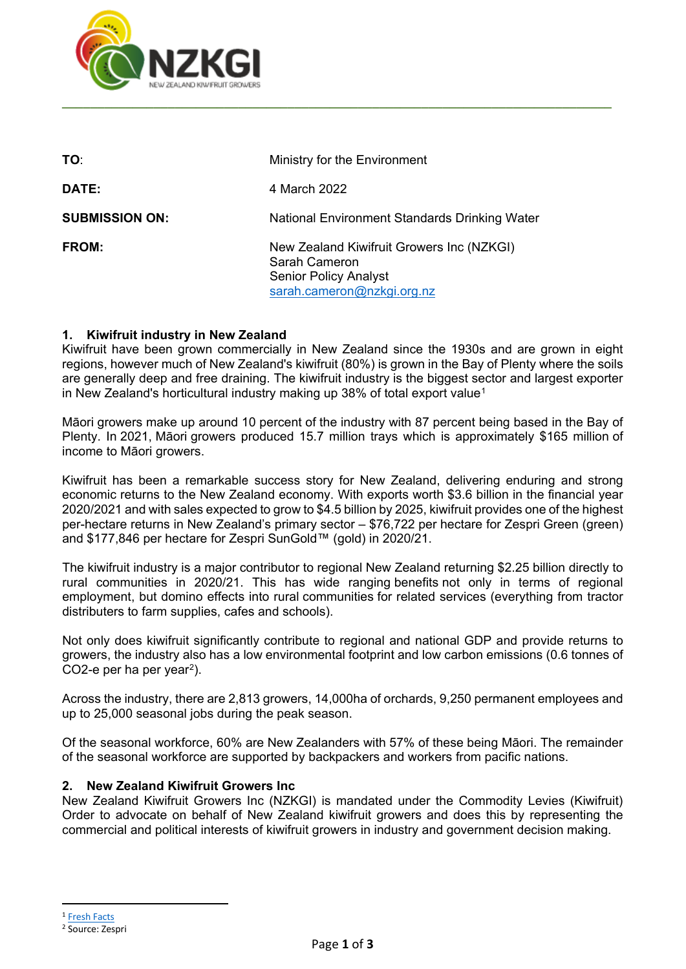

| TO:                   | Ministry for the Environment                                                                                             |
|-----------------------|--------------------------------------------------------------------------------------------------------------------------|
| <b>DATE:</b>          | 4 March 2022                                                                                                             |
| <b>SUBMISSION ON:</b> | National Environment Standards Drinking Water                                                                            |
| <b>FROM:</b>          | New Zealand Kiwifruit Growers Inc (NZKGI)<br>Sarah Cameron<br><b>Senior Policy Analyst</b><br>sarah.cameron@nzkgi.org.nz |

# **1. Kiwifruit industry in New Zealand**

Kiwifruit have been grown commercially in New Zealand since the 1930s and are grown in eight regions, however much of New Zealand's kiwifruit (80%) is grown in the Bay of Plenty where the soils are generally deep and free draining. The kiwifruit industry is the biggest sector and largest exporter in New Zealand's horticultural industry making up 38% of total export value<sup>[1](#page-0-0)</sup>

Māori growers make up around 10 percent of the industry with 87 percent being based in the Bay of Plenty. In 2021, Māori growers produced 15.7 million trays which is approximately \$165 million of income to Māori growers.

Kiwifruit has been a remarkable success story for New Zealand, delivering enduring and strong economic returns to the New Zealand economy. With exports worth \$3.6 billion in the financial year 2020/2021 and with sales expected to grow to \$4.5 billion by 2025, kiwifruit provides one of the highest per-hectare returns in New Zealand's primary sector – \$76,722 per hectare for Zespri Green (green) and \$177,846 per hectare for Zespri SunGold™ (gold) in 2020/21.

The kiwifruit industry is a major contributor to regional New Zealand returning \$2.25 billion directly to rural communities in 2020/21. This has wide ranging benefits not only in terms of regional employment, but domino effects into rural communities for related services (everything from tractor distributers to farm supplies, cafes and schools).

Not only does kiwifruit significantly contribute to regional and national GDP and provide returns to growers, the industry also has a low environmental footprint and low carbon emissions (0.6 tonnes of CO2-e per ha per year[2](#page-0-1)).

Across the industry, there are 2,813 growers, 14,000ha of orchards, 9,250 permanent employees and up to 25,000 seasonal jobs during the peak season.

Of the seasonal workforce, 60% are New Zealanders with 57% of these being Māori. The remainder of the seasonal workforce are supported by backpackers and workers from pacific nations.

### **2. New Zealand Kiwifruit Growers Inc**

New Zealand Kiwifruit Growers Inc (NZKGI) is mandated under the Commodity Levies (Kiwifruit) Order to advocate on behalf of New Zealand kiwifruit growers and does this by representing the commercial and political interests of kiwifruit growers in industry and government decision making.

<span id="page-0-0"></span><sup>1</sup> [Fresh Facts](https://www.freshfacts.co.nz/)

<span id="page-0-1"></span><sup>2</sup> Source: Zespri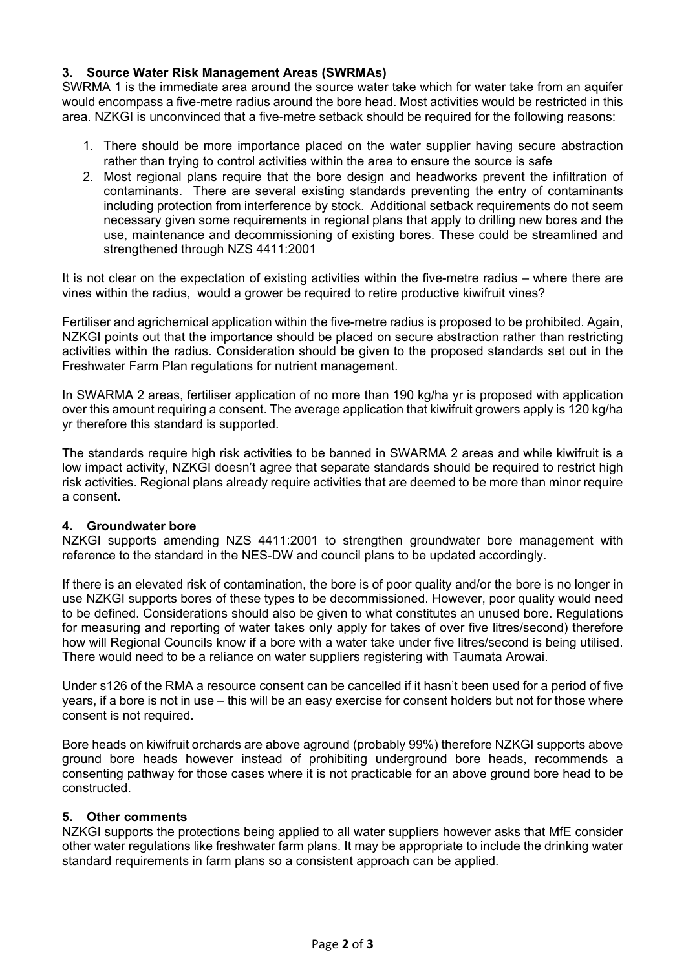# **3. Source Water Risk Management Areas (SWRMAs)**

SWRMA 1 is the immediate area around the source water take which for water take from an aquifer would encompass a five-metre radius around the bore head. Most activities would be restricted in this area. NZKGI is unconvinced that a five-metre setback should be required for the following reasons:

- 1. There should be more importance placed on the water supplier having secure abstraction rather than trying to control activities within the area to ensure the source is safe
- 2. Most regional plans require that the bore design and headworks prevent the infiltration of contaminants. There are several existing standards preventing the entry of contaminants including protection from interference by stock. Additional setback requirements do not seem necessary given some requirements in regional plans that apply to drilling new bores and the use, maintenance and decommissioning of existing bores. These could be streamlined and strengthened through NZS 4411:2001

It is not clear on the expectation of existing activities within the five-metre radius – where there are vines within the radius, would a grower be required to retire productive kiwifruit vines?

Fertiliser and agrichemical application within the five-metre radius is proposed to be prohibited. Again, NZKGI points out that the importance should be placed on secure abstraction rather than restricting activities within the radius. Consideration should be given to the proposed standards set out in the Freshwater Farm Plan regulations for nutrient management.

In SWARMA 2 areas, fertiliser application of no more than 190 kg/ha yr is proposed with application over this amount requiring a consent. The average application that kiwifruit growers apply is 120 kg/ha yr therefore this standard is supported.

The standards require high risk activities to be banned in SWARMA 2 areas and while kiwifruit is a low impact activity, NZKGI doesn't agree that separate standards should be required to restrict high risk activities. Regional plans already require activities that are deemed to be more than minor require a consent.

### **4. Groundwater bore**

NZKGI supports amending NZS 4411:2001 to strengthen groundwater bore management with reference to the standard in the NES-DW and council plans to be updated accordingly.

If there is an elevated risk of contamination, the bore is of poor quality and/or the bore is no longer in use NZKGI supports bores of these types to be decommissioned. However, poor quality would need to be defined. Considerations should also be given to what constitutes an unused bore. Regulations for measuring and reporting of water takes only apply for takes of over five litres/second) therefore how will Regional Councils know if a bore with a water take under five litres/second is being utilised. There would need to be a reliance on water suppliers registering with Taumata Arowai.

Under s126 of the RMA a resource consent can be cancelled if it hasn't been used for a period of five years, if a bore is not in use – this will be an easy exercise for consent holders but not for those where consent is not required.

Bore heads on kiwifruit orchards are above aground (probably 99%) therefore NZKGI supports above ground bore heads however instead of prohibiting underground bore heads, recommends a consenting pathway for those cases where it is not practicable for an above ground bore head to be constructed.

#### **5. Other comments**

NZKGI supports the protections being applied to all water suppliers however asks that MfE consider other water regulations like freshwater farm plans. It may be appropriate to include the drinking water standard requirements in farm plans so a consistent approach can be applied.